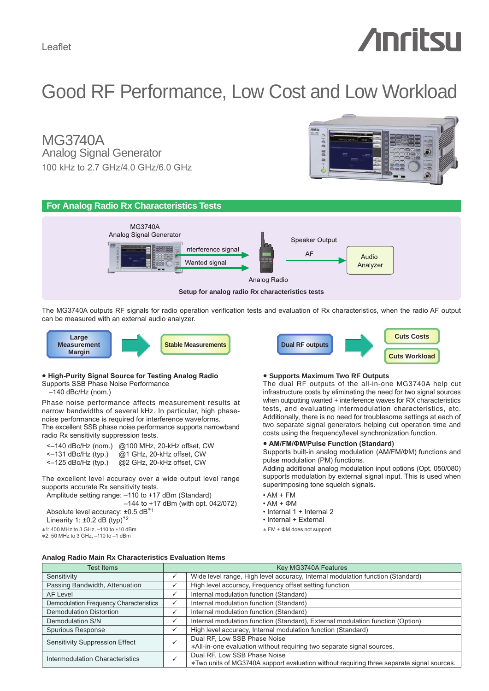# **Anritsu**

**Cuts Costs**

**Cuts Workload**

# Good RF Performance, Low Cost and Low Workload

Analog Signal Generator MG3740A 100 kHz to 2.7 GHz/4.0 GHz/6.0 GHz





The MG3740A outputs RF signals for radio operation verification tests and evaluation of Rx characteristics, when the radio AF output can be measured with an external audio analyzer.



# **● High-Purity Signal Source for Testing Analog Radio**

Supports SSB Phase Noise Performance

 $-140$  dBc/Hz (nom.)

Phase noise performance affects measurement results at narrow bandwidths of several kHz. In particular, high phasenoise performance is required for interference waveforms. The excellent SSB phase noise performance supports narrowband radio Rx sensitivity suppression tests.

| $\leq -140$ dBc/Hz (nom.) | @100 MHz, 20-kHz offset, CW |
|---------------------------|-----------------------------|
| $\leq -131$ dBc/Hz (typ.) | @1 GHz, 20-kHz offset, CW   |
| $\leq -125$ dBc/Hz (typ.) | @2 GHz, 20-kHz offset, CW   |

The excellent level accuracy over a wide output level range supports accurate Rx sensitivity tests.

Amplitude setting range: –110 to +17 dBm (Standard)

–144 to +17 dBm (with opt. 042/072)

Absolute level accuracy: ±0.5 dB∗<sup>1</sup>

Linearity 1:  $±0.2$  dB (typ)<sup>\*2</sup>

∗1: 400 MHz to 3 GHz, –110 to +10 dBm ∗2: 50 MHz to 3 GHz, –110 to –1 dBm

# **● Supports Maximum Two RF Outputs**

**Dual RF outputs**

The dual RF outputs of the all-in-one MG3740A help cut infrastructure costs by eliminating the need for two signal sources when outputting wanted + interference waves for RX characteristics tests, and evaluating intermodulation characteristics, etc. Additionally, there is no need for troublesome settings at each of two separate signal generators helping cut operation time and costs using the frequency/level synchronization function.

# **● AM/FM/ΦM/Pulse Function (Standard)**

Supports built-in analog modulation (AM/FM/ΦM) functions and pulse modulation (PM) functions.

Adding additional analog modulation input options (Opt. 050/080) supports modulation by external signal input. This is used when superimposing tone squelch signals.

- AM + FM
- AM + ΦM
- Internal 1 + Internal 2
- Internal + External
- ∗ FM + ΦM does not support.

### **Analog Radio Main Rx Characteristics Evaluation Items**

| <b>Test Items</b>                      | Key MG3740A Features |                                                                                           |
|----------------------------------------|----------------------|-------------------------------------------------------------------------------------------|
| Sensitivity                            | ✓                    | Wide level range, High level accuracy, Internal modulation function (Standard)            |
| Passing Bandwidth, Attenuation         | ✓                    | High level accuracy, Frequency offset setting function                                    |
| AF Level                               | ✓                    | Internal modulation function (Standard)                                                   |
| Demodulation Frequency Characteristics | ✓                    | Internal modulation function (Standard)                                                   |
| <b>Demodulation Distortion</b>         | ✓                    | Internal modulation function (Standard)                                                   |
| Demodulation S/N                       | ✓                    | Internal modulation function (Standard), External modulation function (Option)            |
| <b>Spurious Response</b>               | ✓                    | High level accuracy, Internal modulation function (Standard)                              |
| <b>Sensitivity Suppression Effect</b>  |                      | Dual RF, Low SSB Phase Noise                                                              |
|                                        |                      | *All-in-one evaluation without requiring two separate signal sources.                     |
| Intermodulation Characteristics        |                      | Dual RF, Low SSB Phase Noise                                                              |
|                                        |                      | *Two units of MG3740A support evaluation without requiring three separate signal sources. |